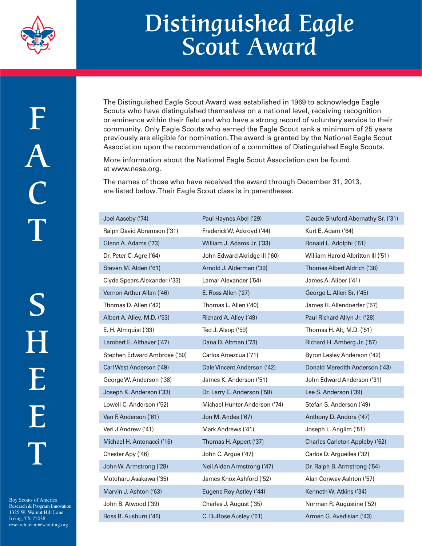

Boy Scouts of America Research & Program Innovation 1325 W. Walnut Hill Lane Irving, TX 75038 research.team@scouting.org

The Distinguished Eagle Scout Award was established in 1969 to acknowledge Eagle Scouts who have distinguished themselves on a national level, receiving recognition or eminence within their field and who have a strong record of voluntary service to their community. Only Eagle Scouts who earned the Eagle Scout rank a minimum of 25 years previously are eligible for nomination. The award is granted by the National Eagle Scout Association upon the recommendation of a committee of Distinguished Eagle Scouts.

More information about the National Eagle Scout Association can be found at [www.nesa.org](http://www.nesa.org).

The names of those who have received the award through December 31, 2013, are listed below. Their Eagle Scout class is in parentheses.

| Joel Aaseby ('74)            | Paul Haynes Abel ('29)        | Claude Shuford Abernathy Sr. ('31)    |
|------------------------------|-------------------------------|---------------------------------------|
| Ralph David Abramson ('31)   | Frederick W. Ackroyd ('44)    | Kurt E. Adam ('64)                    |
| Glenn A. Adams ('73)         | William J. Adams Jr. ('33)    | Ronald L. Adolphi ('61)               |
| Dr. Peter C. Agre ('64)      | John Edward Akridge III ('60) | William Harold Albritton III ('51)    |
| Steven M. Alden ('61)        | Arnold J. Alderman ('39)      | Thomas Albert Aldrich ('38)           |
| Clyde Spears Alexander ('33) | Lamar Alexander ('54)         | James A. Aliber ('41)                 |
| Vernon Arthur Allan ('46)    | E. Ross Allen ('27)           | George L. Allen Sr. ('45)             |
| Thomas D. Allen ('42)        | Thomas L. Allen ('40)         | James H. Allendoerfer ('57)           |
| Albert A. Alley, M.D. ('53)  | Richard A. Alley ('49)        | Paul Richard Allyn Jr. ('28)          |
| E. H. Almquist ('33)         | Ted J. Alsop ('59)            | Thomas H. Alt, M.D. ('51)             |
| Lambert E. Althaver ('47)    | Dana D. Altman ('73)          | Richard H. Amberg Jr. ('57)           |
| Stephen Edward Ambrose ('50) | Carlos Amezcua ('71)          | Byron Lesley Anderson ('42)           |
| Carl West Anderson ('49)     | Dale Vincent Anderson ('42)   | Donald Meredith Anderson ('43)        |
| George W. Anderson ('38)     | James K. Anderson ('51)       | John Edward Anderson ('31)            |
| Joseph K. Anderson ('33)     | Dr. Larry E. Anderson ('58)   | Lee S. Anderson ('39)                 |
| Lowell C. Anderson ('52)     | Michael Hunter Anderson ('74) | Stefan S. Anderson ('49)              |
| Van F. Anderson ('61)        | Jon M. Andes ('67)            | Anthony D. Andora ('47)               |
| Verl J Andrew ('41)          | Mark Andrews ('41)            | Joseph L. Anglim ('51)                |
| Michael H. Antonacci ('16)   | Thomas H. Appert ('37)        | <b>Charles Carleton Appleby ('62)</b> |
| Chester Apy ('46)            | John C. Argue ('47)           | Carlos D. Arguelles ('32)             |
| John W. Armstrong ('28)      | Neil Alden Armstrong ('47)    | Dr. Ralph B. Armstrong ('54)          |
| Motoharu Asakawa ('35)       | James Knox Ashford ('52)      | Alan Conway Ashton ('57)              |
| Marvin J. Ashton ('63)       | Eugene Roy Astley ('44)       | Kenneth W. Atkins ('34)               |
| John B. Atwood ('39)         | Charles J. August ('35)       | Norman R. Augustine ('52)             |
| Ross B. Ausburn ('46)        | C. DuBose Ausley ('51)        | Armen G. Avedisian ('43)              |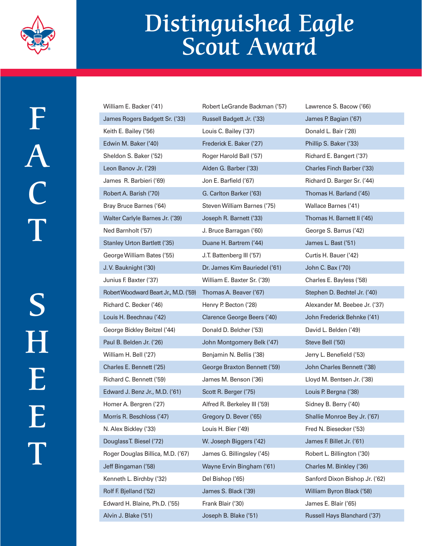

| William E. Backer ('41)               | Robert LeGrande Backman ('57) | Lawrence S. Bacow ('66)        |
|---------------------------------------|-------------------------------|--------------------------------|
| James Rogers Badgett Sr. ('33)        | Russell Badgett Jr. ('33)     | James P. Bagian ('67)          |
| Keith E. Bailey ('56)                 | Louis C. Bailey ('37)         | Donald L. Bair ('28)           |
| Edwin M. Baker ('40)                  | Frederick E. Baker ('27)      | Phillip S. Baker ('33)         |
| Sheldon S. Baker ('52)                | Roger Harold Ball ('57)       | Richard E. Bangert ('37)       |
| Leon Banov Jr. ('29)                  | Alden G. Barber ('33)         | Charles Finch Barber ('33)     |
| James R. Barbieri ('69)               | Jon E. Barfield ('67)         | Richard D. Barger Sr. ('44)    |
| Robert A. Barish ('70)                | G. Carlton Barker ('63)       | Thomas H. Barland ('45)        |
| Bray Bruce Barnes ('64)               | Steven William Barnes ('75)   | Wallace Barnes ('41)           |
| Walter Carlyle Barnes Jr. ('39)       | Joseph R. Barnett ('33)       | Thomas H. Barnett II ('45)     |
| Ned Barnholt ('57)                    | J. Bruce Barragan ('60)       | George S. Barrus ('42)         |
| <b>Stanley Urton Bartlett ('35)</b>   | Duane H. Bartrem ('44)        | James L. Bast ('51)            |
| George William Bates ('55)            | J.T. Battenberg III ('57)     | Curtis H. Bauer ('42)          |
| J.V. Bauknight ('30)                  | Dr. James Kim Bauriedel ('61) | John C. Bax ('70)              |
| Junius F. Baxter ('37)                | William E. Baxter Sr. ('39)   | Charles E. Bayless ('58)       |
| Robert Woodward Beart Jr., M.D. ('59) | Thomas A. Beaver ('67)        | Stephen D. Bechtel Jr. ('40)   |
| Richard C. Becker ('46)               | Henry P. Becton ('28)         | Alexander M. Beebee Jr. ('37)  |
| Louis H. Beechnau ('42)               | Clarence George Beers ('40)   | John Frederick Behnke ('41)    |
| George Bickley Beitzel ('44)          | Donald D. Belcher ('53)       | David L. Belden ('49)          |
| Paul B. Belden Jr. ('26)              | John Montgomery Belk ('47)    | Steve Bell ('50)               |
| William H. Bell ('27)                 | Benjamin N. Bellis ('38)      | Jerry L. Benefield ('53)       |
| Charles E. Bennett ('25)              | George Braxton Bennett ('59)  | John Charles Bennett ('38)     |
| Richard C. Bennett ('59)              | James M. Benson ('36)         | Lloyd M. Bentsen Jr. ('38)     |
| Edward J. Benz Jr., M.D. ('61)        | Scott R. Berger ('75)         | Louis P. Bergna ('38)          |
| Homer A. Bergren ('27)                | Alfred R. Berkeley III ('59)  | Sidney B. Berry ('40)          |
| Morris R. Beschloss ('47)             | Gregory D. Bever ('65)        | Shallie Monroe Bey Jr. ('67)   |
| N. Alex Bickley ('33)                 | Louis H. Bier ('49)           | Fred N. Biesecker ('53)        |
| Douglass T. Biesel ('72)              | W. Joseph Biggers ('42)       | James F. Billet Jr. ('61)      |
| Roger Douglas Billica, M.D. ('67)     | James G. Billingsley ('45)    | Robert L. Billington ('30)     |
| Jeff Bingaman ('58)                   | Wayne Ervin Bingham ('61)     | Charles M. Binkley ('36)       |
| Kenneth L. Birchby ('32)              | Del Bishop ('65)              | Sanford Dixon Bishop Jr. ('62) |
| Rolf F. Bjelland ('52)                | James S. Black ('39)          | William Byron Black ('58)      |
| Edward H. Blaine, Ph.D. ('55)         | Frank Blair ('30)             | James E. Blair ('65)           |
| Alvin J. Blake ('51)                  | Joseph B. Blake ('51)         | Russell Hays Blanchard ('37)   |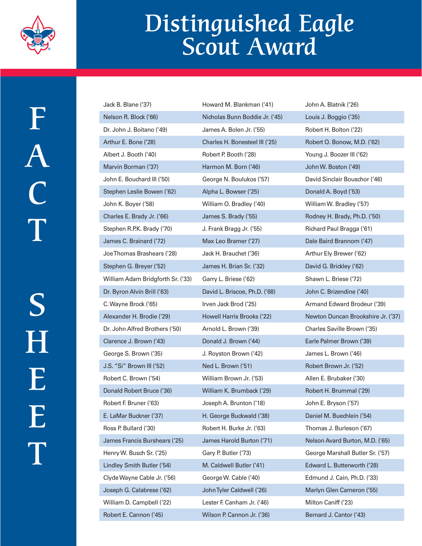

| Jack B. Blane ('37)               | Howard M. Blankman ('41)       | John A. Blatnik ('26)              |
|-----------------------------------|--------------------------------|------------------------------------|
| Nelson R. Block ('66)             | Nicholas Bunn Boddie Jr. ('45) | Louis J. Boggio ('35)              |
| Dr. John J. Boitano ('49)         | James A. Bolen Jr. ('55)       | Robert H. Bolton ('22)             |
| Arthur E. Bone ('28)              | Charles H. Bonesteel III ('25) | Robert O. Bonow, M.D. ('62)        |
| Albert J. Booth ('40)             | Robert P. Booth ('28)          | Young J. Boozer III ('62)          |
| Marvin Borman ('37)               | Harmon M. Born ('46)           | John W. Boston ('49)               |
| John E. Bouchard III ('50)        | George N. Boulukos ('57)       | David Sinclair Bouschor ('46)      |
| Stephen Leslie Bowen ('62)        | Alpha L. Bowser ('25)          | Donald A. Boyd ('53)               |
| John K. Boyer ('58)               | William O. Bradley ('40)       | William W. Bradley ('57)           |
| Charles E. Brady Jr. ('66)        | James S. Brady ('55)           | Rodney H. Brady, Ph.D. ('50)       |
| Stephen R.P.K. Brady ('70)        | J. Frank Bragg Jr. ('55)       | Richard Paul Bragga ('61)          |
| James C. Brainard ('72)           | Max Leo Bramer ('27)           | Dale Baird Brannom ('47)           |
| Joe Thomas Brashears ('28)        | Jack H. Brauchet ('36)         | Arthur Ely Brewer ('62)            |
| Stephen G. Breyer ('52)           | James H. Brian Sr. ('32)       | David G. Brickley ('62)            |
| William Adam Bridgforth Sr. ('33) | Garry L. Briese ('62)          | Shawn L. Briese ('72)              |
| Dr. Byron Alvin Brill ('63)       | David L. Briscoe, Ph.D. ('68)  | John C. Brizendine ('40)           |
| C. Wayne Brock ('65)              | Irven Jack Brod ('25)          | Armand Edward Brodeur ('39)        |
| Alexander H. Brodie ('29)         | Howell Harris Brooks ('22)     | Newton Duncan Brookshire Jr. ('37) |
| Dr. John Alfred Brothers ('50)    | Arnold L. Brown ('39)          | Charles Saville Brown ('35)        |
| Clarence J. Brown ('43)           | Donald J. Brown ('44)          | Earle Palmer Brown ('39)           |
| George S. Brown ('35)             | J. Royston Brown ('42)         | James L. Brown ('46)               |
| J.S. "Si" Brown III ('52)         | Ned L. Brown ('51)             | Robert Brown Jr. ('52)             |
| Robert C. Brown ('54)             | William Brown Jr. ('53)        | Allen E. Brubaker ('30)            |
| Donald Robert Bruce ('36)         | William K. Brumback ('29)      | Robert H. Brummal ('29)            |
| Robert F. Bruner ('63)            | Joseph A. Brunton ('18)        | John E. Bryson ('57)               |
| E. LaMar Buckner ('37)            | H. George Buckwald ('38)       | Daniel M. Buechlein ('54)          |
| Ross P. Bullard ('30)             | Robert H. Burke Jr. ('63)      | Thomas J. Burleson ('67)           |
| James Francis Burshears ('25)     | James Harold Burton ('71)      | Nelson Avard Burton, M.D. ('65)    |
| Henry W. Busch Sr. ('25)          | Gary P. Butler ('73)           | George Marshall Butler Sr. ('57)   |
| Lindley Smith Butler ('54)        | M. Caldwell Butler ('41)       | Edward L. Butterworth ('28)        |
| Clyde Wayne Cable Jr. ('56)       | George W. Cable ('40)          | Edmund J. Cain, Ph.D. ('33)        |
| Joseph G. Calabrese ('62)         | John Tyler Caldwell ('26)      | Marlyn Glen Cameron ('55)          |
| William D. Campbell ('22)         | Lester F. Canham Jr. ('46)     | Milton Caniff ('23)                |
| Robert E. Cannon ('45)            | Wilson P. Cannon Jr. ('36)     | Bernard J. Cantor ('43)            |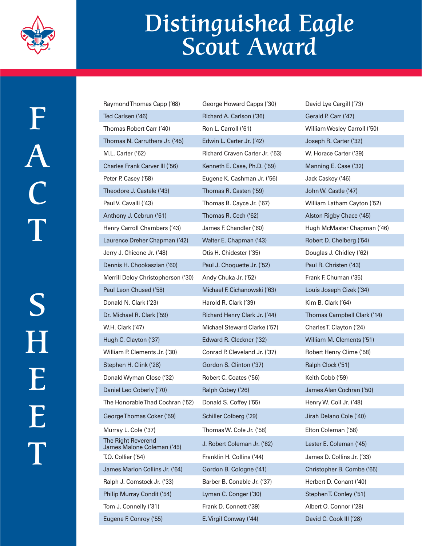

| Raymond Thomas Capp ('68)                        | George Howard Capps ('30)       | David Lye Cargill ('73)      |
|--------------------------------------------------|---------------------------------|------------------------------|
| Ted Carlsen ('46)                                | Richard A. Carlson ('36)        | Gerald P. Carr ('47)         |
| Thomas Robert Carr ('40)                         | Ron L. Carroll ('61)            | William Wesley Carroll ('50) |
| Thomas N. Carruthers Jr. ('45)                   | Edwin L. Carter Jr. ('42)       | Joseph R. Carter ('32)       |
| M.L. Carter ('62)                                | Richard Craven Carter Jr. ('53) | W. Horace Carter ('39)       |
| Charles Frank Carver III ('56)                   | Kenneth E. Case, Ph.D. ('59)    | Manning E. Case ('32)        |
| Peter P. Casey ('58)                             | Eugene K. Cashman Jr. ('56)     | Jack Caskey ('46)            |
| Theodore J. Castele ('43)                        | Thomas R. Casten ('59)          | John W. Castle ('47)         |
| Paul V. Cavalli ('43)                            | Thomas B. Cayce Jr. ('67)       | William Latham Cayton ('52)  |
| Anthony J. Cebrun ('61)                          | Thomas R. Cech ('62)            | Alston Rigby Chace ('45)     |
| Henry Carroll Chambers ('43)                     | James F. Chandler ('60)         | Hugh McMaster Chapman ('46)  |
| Laurence Dreher Chapman ('42)                    | Walter E. Chapman ('43)         | Robert D. Chelberg ('54)     |
| Jerry J. Chicone Jr. ('48)                       | Otis H. Chidester ('35)         | Douglas J. Chidley ('62)     |
| Dennis H. Chookaszian ('60)                      | Paul J. Choquette Jr. ('52)     | Paul R. Christen ('43)       |
| Merrill Deloy Christopherson ('30)               | Andy Chuka Jr. ('52)            | Frank F. Chuman ('35)        |
| Paul Leon Chused ('58)                           | Michael F. Cichanowski ('63)    | Louis Joseph Cizek ('34)     |
| Donald N. Clark ('23)                            | Harold R. Clark ('39)           | Kim B. Clark ('64)           |
| Dr. Michael R. Clark ('59)                       | Richard Henry Clark Jr. ('44)   | Thomas Campbell Clark ('14)  |
| W.H. Clark ('47)                                 | Michael Steward Clarke ('57)    | Charles T. Clayton ('24)     |
| Hugh C. Clayton ('37)                            | Edward R. Cleckner ('32)        | William M. Clements ('51)    |
| William P. Clements Jr. ('30)                    | Conrad P. Cleveland Jr. ('37)   | Robert Henry Clime ('58)     |
| Stephen H. Clink ('28)                           | Gordon S. Clinton ('37)         | Ralph Clock ('51)            |
| Donald Wyman Close ('32)                         | Robert C. Coates ('56)          | Keith Cobb ('59)             |
| Daniel Leo Coberly ('70)                         | Ralph Cobey ('26)               | James Alan Cochran ('50)     |
| The Honorable Thad Cochran ('52)                 | Donald S. Coffey ('55)          | Henry W. Coil Jr. ('48)      |
| George Thomas Coker ('59)                        | Schiller Colberg ('29)          | Jirah Delano Cole ('40)      |
| Murray L. Cole ('37)                             | Thomas W. Cole Jr. ('58)        | Elton Coleman ('58)          |
| The Right Reverend<br>James Malone Coleman ('45) | J. Robert Coleman Jr. ('62)     | Lester E. Coleman ('45)      |
| T.O. Collier ('54)                               | Franklin H. Collins ('44)       | James D. Collins Jr. ('33)   |
| James Marion Collins Jr. ('64)                   | Gordon B. Cologne ('41)         | Christopher B. Combe ('65)   |
| Ralph J. Comstock Jr. ('33)                      | Barber B. Conable Jr. ('37)     | Herbert D. Conant ('40)      |
| Philip Murray Condit ('54)                       | Lyman C. Conger ('30)           | Stephen T. Conley ('51)      |
| Tom J. Connelly ('31)                            | Frank D. Connett ('39)          | Albert O. Connor ('28)       |
| Eugene F. Conroy ('55)                           | E. Virgil Conway ('44)          | David C. Cook III ('28)      |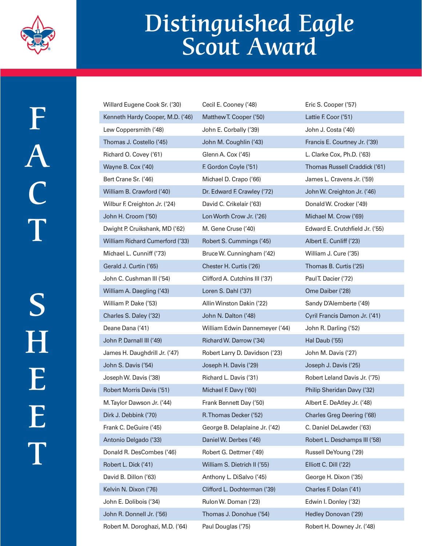

| Willard Eugene Cook Sr. ('30)    | Cecil E. Cooney ('48)          | Eric S. Cooper ('57)              |
|----------------------------------|--------------------------------|-----------------------------------|
| Kenneth Hardy Cooper, M.D. ('46) | Matthew T. Cooper ('50)        | Lattie F. Coor ('51)              |
| Lew Coppersmith ('48)            | John E. Corbally ('39)         | John J. Costa ('40)               |
| Thomas J. Costello ('45)         | John M. Coughlin ('43)         | Francis E. Courtney Jr. ('39)     |
| Richard O. Covey ('61)           | Glenn A. Cox ('45)             | L. Clarke Cox, Ph.D. ('63)        |
| Wayne B. Cox ('40)               | F. Gordon Coyle ('51)          | Thomas Russell Craddick ('61)     |
| Bert Crane Sr. ('46)             | Michael D. Crapo ('66)         | James L. Cravens Jr. ('59)        |
| William B. Crawford ('40)        | Dr. Edward F. Crawley ('72)    | John W. Creighton Jr. ('46)       |
| Wilbur F. Creighton Jr. ('24)    | David C. Crikelair ('63)       | Donald W. Crocker ('49)           |
| John H. Croom ('50)              | Lon Worth Crow Jr. ('26)       | Michael M. Crow ('69)             |
| Dwight P. Cruikshank, MD ('62)   | M. Gene Cruse ('40)            | Edward E. Crutchfield Jr. ('55)   |
| William Richard Cumerford ('33)  | Robert S. Cummings ('45)       | Albert E. Cunliff ('23)           |
| Michael L. Cunniff ('73)         | Bruce W. Cunningham ('42)      | William J. Cure ('35)             |
| Gerald J. Curtin ('65)           | Chester H. Curtis ('26)        | Thomas B. Curtis ('25)            |
| John C. Cushman III ('54)        | Clifford A. Cutchins III ('37) | PaulT. Dacier ('72)               |
| William A. Daegling ('43)        | Loren S. Dahl ('37)            | Ome Daiber ('28)                  |
| William P. Dake ('53)            | Allin Winston Dakin ('22)      | Sandy D'Alemberte ('49)           |
| Charles S. Daley ('32)           | John N. Dalton ('48)           | Cyril Francis Damon Jr. ('41)     |
| Deane Dana ('41)                 | William Edwin Dannemeyer ('44) | John R. Darling ('52)             |
| John P. Darnall III ('49)        | Richard W. Darrow ('34)        | Hal Daub ('55)                    |
| James H. Daughdrill Jr. ('47)    | Robert Larry D. Davidson ('23) | John M. Davis ('27)               |
| John S. Davis ('54)              | Joseph H. Davis ('29)          | Joseph J. Davis ('25)             |
| Joseph W. Davis ('38)            | Richard L. Davis ('31)         | Robert Leland Davis Jr. ('75)     |
| Robert Morris Davis ('51)        | Michael F. Davy ('60)          | Philip Sheridan Davy ('32)        |
| M. Taylor Dawson Jr. ('44)       | Frank Bennett Day ('50)        | Albert E. DeAtley Jr. ('48)       |
| Dirk J. Debbink ('70)            | R. Thomas Decker ('52)         | <b>Charles Greg Deering ('68)</b> |
| Frank C. DeGuire ('45)           | George B. Delaplaine Jr. ('42) | C. Daniel DeLawder ('63)          |
| Antonio Delgado ('33)            | Daniel W. Derbes ('46)         | Robert L. Deschamps III ('58)     |
| Donald R. DesCombes ('46)        | Robert G. Dettmer ('49)        | Russell DeYoung ('29)             |
| Robert L. Dick ('41)             | William S. Dietrich II ('55)   | Elliott C. Dill ('22)             |
| David B. Dillon ('63)            | Anthony L. DiSalvo ('45)       | George H. Dixon ('35)             |
| Kelvin N. Dixon ('76)            | Clifford L. Dochterman ('39)   | Charles F. Dolan ('41)            |
| John E. Dolibois ('34)           | Rulon W. Doman ('23)           | Edwin I. Donley ('32)             |
| John R. Donnell Jr. ('56)        | Thomas J. Donohue ('54)        | Hedley Donovan ('29)              |
| Robert M. Doroghazi, M.D. ('64)  | Paul Douglas ('75)             | Robert H. Downey Jr. ('48)        |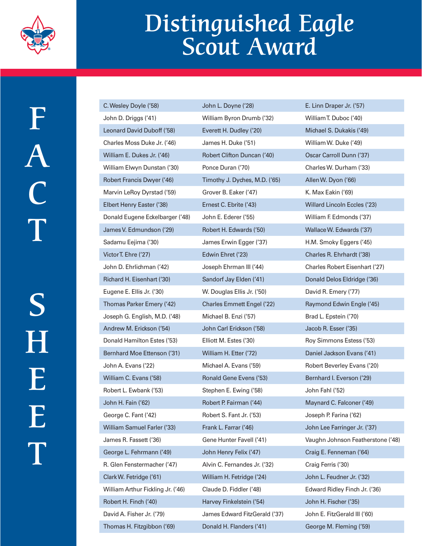

| C. Wesley Doyle ('58)             | John L. Doyne ('28)           | E. Linn Draper Jr. ('57)          |
|-----------------------------------|-------------------------------|-----------------------------------|
| John D. Driggs ('41)              | William Byron Drumb ('32)     | William T. Duboc ('40)            |
| Leonard David Duboff ('58)        | Everett H. Dudley ('20)       | Michael S. Dukakis ('49)          |
| Charles Moss Duke Jr. ('46)       | James H. Duke ('51)           | William W. Duke ('49)             |
| William E. Dukes Jr. ('46)        | Robert Clifton Duncan ('40)   | Oscar Carroll Dunn ('37)          |
| William Elwyn Dunstan ('30)       | Ponce Duran ('70)             | Charles W. Durham ('33)           |
| Robert Francis Dwyer ('46)        | Timothy J. Dyches, M.D. ('65) | Allen W. Dyon ('66)               |
| Marvin LeRoy Dyrstad ('59)        | Grover B. Eaker ('47)         | K. Max Eakin ('69)                |
| Elbert Henry Easter ('38)         | Ernest C. Ebrite ('43)        | Willard Lincoln Eccles ('23)      |
| Donald Eugene Eckelbarger ('48)   | John E. Ederer ('55)          | William F. Edmonds ('37)          |
| James V. Edmundson ('29)          | Robert H. Edwards ('50)       | Wallace W. Edwards ('37)          |
| Sadamu Eejima ('30)               | James Erwin Egger ('37)       | H.M. Smoky Eggers ('45)           |
| Victor T. Ehre ('27)              | Edwin Ehret ('23)             | Charles R. Ehrhardt ('38)         |
| John D. Ehrlichman ('42)          | Joseph Ehrman III ('44)       | Charles Robert Eisenhart ('27)    |
| Richard H. Eisenhart ('30)        | Sandorf Jay Elden ('41)       | Donald Delos Eldridge ('36)       |
| Eugene E. Ellis Jr. ('30)         | W. Douglas Ellis Jr. ('50)    | David R. Emery ('77)              |
| Thomas Parker Emery ('42)         | Charles Emmett Engel ('22)    | Raymond Edwin Engle ('45)         |
| Joseph G. English, M.D. ('48)     | Michael B. Enzi ('57)         | Brad L. Epstein ('70)             |
| Andrew M. Erickson ('54)          | John Carl Erickson ('58)      | Jacob R. Esser ('35)              |
| Donald Hamilton Estes ('53)       | Elliott M. Estes ('30)        | Roy Simmons Estess ('53)          |
| Bernhard Moe Ettenson ('31)       | William H. Etter ('72)        | Daniel Jackson Evans ('41)        |
| John A. Evans ('22)               | Michael A. Evans ('59)        | Robert Beverley Evans ('20)       |
| William C. Evans ('58)            | Ronald Gene Evens ('53)       | Bernhard I. Everson ('29)         |
| Robert L. Ewbank ('53)            | Stephen E. Ewing ('58)        | John Fahl ('52)                   |
| John H. Fain ('62)                | Robert P. Fairman ('44)       | Maynard C. Falconer ('49)         |
| George C. Fant ('42)              | Robert S. Fant Jr. ('53)      | Joseph P. Farina ('62)            |
| William Samuel Farler ('33)       | Frank L. Farrar ('46)         | John Lee Farringer Jr. ('37)      |
| James R. Fassett ('36)            | Gene Hunter Favell ('41)      | Vaughn Johnson Featherstone ('48) |
| George L. Fehrmann ('49)          | John Henry Felix ('47)        | Craig E. Fenneman ('64)           |
| R. Glen Fenstermacher ('47)       | Alvin C. Fernandes Jr. ('32)  | Craig Ferris ('30)                |
| Clark W. Fetridge ('61)           | William H. Fetridge ('24)     | John L. Feudner Jr. ('32)         |
| William Arthur Fickling Jr. ('46) | Claude D. Fiddler ('48)       | Edward Ridley Finch Jr. ('36)     |
| Robert H. Finch ('40)             | Harvey Finkelstein ('54)      | John H. Fischer ('35)             |
| David A. Fisher Jr. ('79)         | James Edward FitzGerald ('37) | John E. FitzGerald III ('60)      |
| Thomas H. Fitzgibbon ('69)        | Donald H. Flanders ('41)      | George M. Fleming ('59)           |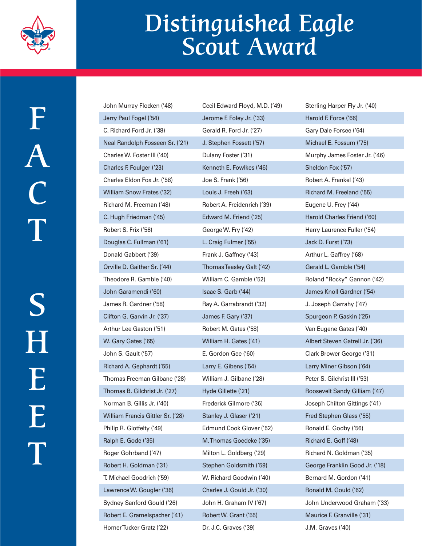

| John Murray Flocken ('48)         | Cecil Edward Floyd, M.D. ('49) | Sterling Harper Fly Jr. ('40)   |
|-----------------------------------|--------------------------------|---------------------------------|
| Jerry Paul Fogel ('54)            | Jerome F. Foley Jr. ('33)      | Harold F. Force ('66)           |
| C. Richard Ford Jr. ('38)         | Gerald R. Ford Jr. ('27)       | Gary Dale Forsee ('64)          |
| Neal Randolph Fosseen Sr. ('21)   | J. Stephen Fossett ('57)       | Michael E. Fossum ('75)         |
| Charles W. Foster III ('40)       | Dulany Foster ('31)            | Murphy James Foster Jr. ('46)   |
| Charles F. Foulger ('23)          | Kenneth E. Fowlkes ('46)       | Sheldon Fox ('57)               |
| Charles Eldon Fox Jr. ('58)       | Joe S. Frank ('56)             | Robert A. Frankel ('43)         |
| William Snow Frates ('32)         | Louis J. Freeh ('63)           | Richard M. Freeland ('55)       |
| Richard M. Freeman ('48)          | Robert A. Freidenrich ('39)    | Eugene U. Frey ('44)            |
| C. Hugh Friedman ('45)            | Edward M. Friend ('25)         | Harold Charles Friend ('60)     |
| Robert S. Frix ('56)              | George W. Fry ('42)            | Harry Laurence Fuller ('54)     |
| Douglas C. Fullman ('61)          | L. Craig Fulmer ('55)          | Jack D. Furst ('73)             |
| Donald Gabbert ('39)              | Frank J. Gaffney ('43)         | Arthur L. Gaffrey ('68)         |
| Orville D. Gaither Sr. ('44)      | Thomas Teasley Galt ('42)      | Gerald L. Gamble ('54)          |
| Theodore R. Gamble ('40)          | William C. Gamble ('52)        | Roland "Rocky" Gannon ('42)     |
| John Garamendi ('60)              | Isaac S. Garb ('44)            | James Knoll Gardner ('54)       |
| James R. Gardner ('58)            | Ray A. Garrabrandt ('32)       | J. Joseph Garrahy ('47)         |
| Clifton G. Garvin Jr. ('37)       | James F. Gary ('37)            | Spurgeon P. Gaskin ('25)        |
| Arthur Lee Gaston ('51)           | Robert M. Gates ('58)          | Van Eugene Gates ('40)          |
| W. Gary Gates ('65)               | William H. Gates ('41)         | Albert Steven Gatrell Jr. ('36) |
| John S. Gault ('57)               | E. Gordon Gee ('60)            | Clark Brower George ('31)       |
| Richard A. Gephardt ('55)         | Larry E. Gibens ('54)          | Larry Miner Gibson ('64)        |
| Thomas Freeman Gilbane ('28)      | William J. Gilbane ('28)       | Peter S. Gilchrist III ('53)    |
| Thomas B. Gilchrist Jr. ('27)     | Hyde Gillette ('21)            | Roosevelt Sandy Gilliam ('47)   |
| Norman B. Gillis Jr. ('40)        | Frederick Gilmore ('36)        | Joseph Chilton Gittings ('41)   |
| William Francis Gittler Sr. ('28) | Stanley J. Glaser ('21)        | Fred Stephen Glass ('55)        |
| Philip R. Glotfelty ('49)         | Edmund Cook Glover ('52)       | Ronald E. Godby ('56)           |
| Ralph E. Gode ('35)               | M. Thomas Goedeke ('35)        | Richard E. Goff ('48)           |
| Roger Gohrband ('47)              | Milton L. Goldberg ('29)       | Richard N. Goldman ('35)        |
| Robert H. Goldman ('31)           | Stephen Goldsmith ('59)        | George Franklin Good Jr. ('18)  |
| T. Michael Goodrich ('59)         | W. Richard Goodwin ('40)       | Bernard M. Gordon ('41)         |
| Lawrence W. Gougler ('36)         | Charles J. Gould Jr. ('30)     | Ronald M. Gould ('62)           |
| Sydney Sanford Gould ('26)        | John H. Graham IV ('67)        | John Underwood Graham ('33)     |
| Robert E. Gramelspacher ('41)     | Robert W. Grant ('55)          | Maurice F. Granville ('31)      |
| HomerTucker Gratz ('22)           | Dr. J.C. Graves ('39)          | J.M. Graves ('40)               |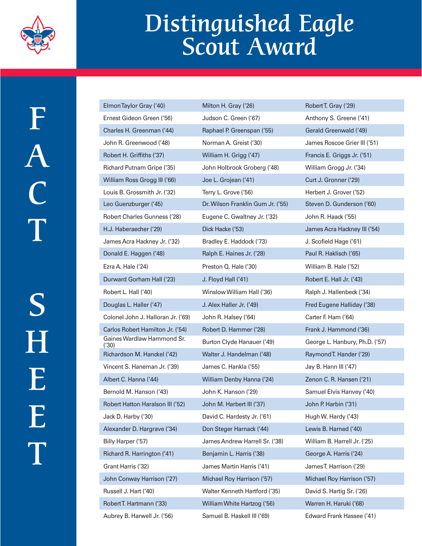

| Elmon Taylor Gray ('40)             | Milton H. Gray ('26)              | Robert T. Gray ('29)           |
|-------------------------------------|-----------------------------------|--------------------------------|
| Ernest Gideon Green ('56)           | Judson C. Green ('67)             | Anthony S. Greene ('41)        |
| Charles H. Greenman ('44)           | Raphael P. Greenspan ('55)        | Gerald Greenwald ('49)         |
| John R. Greenwood ('48)             | Norman A. Greist ('30)            | James Roscoe Grier III ('51)   |
| Robert H. Griffiths ('37)           | William H. Grigg ('47)            | Francis E. Griggs Jr. ('51)    |
| Richard Putnam Gripe ('35)          | John Holbrook Groberg ('48)       | William Grogg Jr. ('34)        |
| William Ross Grogg III ('66)        | Joe L. Grojean ('41)              | Curt J. Gronner ('29)          |
| Louis B. Grossmith Jr. ('32)        | Terry L. Grove ('56)              | Herbert J. Grover ('52)        |
| Leo Guenzburger ('45)               | Dr. Wilson Franklin Gum Jr. ('55) | Steven D. Gunderson ('60)      |
| Robert Charles Gunness ('28)        | Eugene C. Gwaltney Jr. ('32)      | John R. Haack ('55)            |
| H.J. Haberaecher ('29)              | Dick Hacke ('53)                  | James Acra Hackney III ('54)   |
| James Acra Hackney Jr. ('32)        | Bradley E. Haddock ('73)          | J. Scofield Hage ('61)         |
| Donald E. Haggen ('48)              | Ralph E. Haines Jr. ('28)         | Paul R. Haklisch ('65)         |
| Ezra A. Hale ('24)                  | Preston Q. Hale ('30)             | William B. Hale ('52)          |
| Durward Gorham Hall ('23)           | J. Floyd Hall ('41)               | Robert E. Hall Jr. ('43)       |
| Robert L. Hall ('40)                | Winslow William Hall ('36)        | Ralph J. Hallenbeck ('34)      |
| Douglas L. Haller ('47)             | J. Alex Haller Jr. ('49)          | Fred Eugene Halliday ('38)     |
| Colonel John J. Halloran Jr. ('69)  | John R. Halsey ('64)              | Carter F. Ham ('64)            |
| Carlos Robert Hamilton Jr. ('54)    | Robert D. Hammer ('28)            | Frank J. Hammond ('36)         |
| Gaines Wardlaw Hammond Sr.<br>('30) | Burton Clyde Hanauer ('49)        | George L. Hanbury, Ph.D. ('57) |
| Richardson M. Hanckel ('42)         | Walter J. Handelman ('48)         | Raymond T. Hander ('29)        |
| Vincent S. Haneman Jr. ('39)        | James C. Hankla ('55)             | Jay B. Hann III ('47)          |
| Albert C. Hanna ('44)               | William Denby Hanna ('24)         | Zenon C. R. Hansen ('21)       |
| Bernold M. Hanson ('43)             | John K. Hanson ('29)              | Samuel Elvis Hanvey ('40)      |
| Robert Hatton Haralson III ('52)    | John M. Harbert III ('37)         | John P. Harbin ('31)           |
| Jack D. Harby ('30)                 | David C. Hardesty Jr. ('61)       | Hugh W. Hardy ('43)            |
| Alexander D. Hargrave ('34)         | Don Steger Harnack ('44)          | Lewis B. Harned ('40)          |
| Billy Harper ('57)                  | James Andrew Harrell Sr. ('38)    | William B. Harrell Jr. ('25)   |
| Richard R. Harrington ('41)         | Benjamin L. Harris ('38)          | George A. Harris ('24)         |
| Grant Harris ('32)                  | James Martin Harris ('41)         | JamesT. Harrison ('29)         |
| John Conway Harrison ('27)          | Michael Roy Harrison ('57)        | Michael Roy Harrison ('57)     |
| Russell J. Hart ('40)               | Walter Kenneth Hartford ('35)     | David S. Hartig Sr. ('26)      |
| Robert T. Hartmann ('33)            | William White Hartzog ('56)       | Warren H. Haruki ('68)         |
| Aubrey B. Harwell Jr. ('56)         | Samuel B. Haskell III ('69)       | Edward Frank Hassee ('41)      |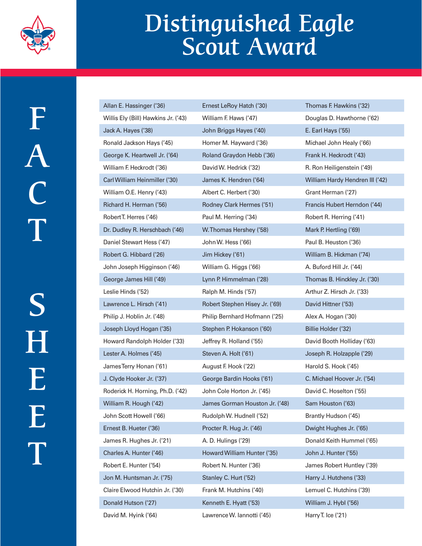

| Allan E. Hassinger ('36)            | Ernest LeRoy Hatch ('30)       | Thomas F. Hawkins ('32)         |
|-------------------------------------|--------------------------------|---------------------------------|
| Willis Ely (Bill) Hawkins Jr. ('43) | William F. Haws ('47)          | Douglas D. Hawthorne ('62)      |
| Jack A. Hayes ('38)                 | John Briggs Hayes ('40)        | E. Earl Hays ('55)              |
| Ronald Jackson Hays ('45)           | Homer M. Hayward ('36)         | Michael John Healy ('66)        |
| George K. Heartwell Jr. ('64)       | Roland Graydon Hebb ('36)      | Frank H. Heckrodt ('43)         |
| William F. Heckrodt ('36)           | David W. Hedrick ('32)         | R. Ron Heiligenstein ('49)      |
| Carl William Heinmiller ('30)       | James K. Hendren ('64)         | William Hardy Hendren III ('42) |
| William O.E. Henry ('43)            | Albert C. Herbert ('30)        | Grant Herman ('27)              |
| Richard H. Herman ('56)             | Rodney Clark Hermes ('51)      | Francis Hubert Herndon ('44)    |
| Robert T. Herres ('46)              | Paul M. Herring ('34)          | Robert R. Herring ('41)         |
| Dr. Dudley R. Herschbach ('46)      | W. Thomas Hershey ('58)        | Mark P. Hertling ('69)          |
| Daniel Stewart Hess ('47)           | John W. Hess ('66)             | Paul B. Heuston ('36)           |
| Robert G. Hibbard ('26)             | Jim Hickey ('61)               | William B. Hickman ('74)        |
| John Joseph Higginson ('46)         | William G. Higgs ('66)         | A. Buford Hill Jr. ('44)        |
| George James Hill ('49)             | Lynn P. Himmelman ('28)        | Thomas B. Hinckley Jr. ('30)    |
| Leslie Hinds ('52)                  | Ralph M. Hinds ('57)           | Arthur Z. Hirsch Jr. ('33)      |
| Lawrence L. Hirsch ('41)            | Robert Stephen Hisey Jr. ('69) | David Hittner ('53)             |
| Philip J. Hoblin Jr. ('48)          | Philip Bernhard Hofmann ('25)  | Alex A. Hogan ('30)             |
| Joseph Lloyd Hogan ('35)            | Stephen P. Hokanson ('60)      | Billie Holder ('32)             |
| Howard Randolph Holder ('33)        | Jeffrey R. Holland ('55)       | David Booth Holliday ('63)      |
| Lester A. Holmes ('45)              | Steven A. Holt ('61)           | Joseph R. Holzapple ('29)       |
| James Terry Honan ('61)             | August F. Hook ('22)           | Harold S. Hook ('45)            |
| J. Clyde Hooker Jr. ('37)           | George Bardin Hooks ('61)      | C. Michael Hoover Jr. ('54)     |
| Roderick H. Horning, Ph.D. ('42)    | John Cole Horton Jr. ('45)     | David C. Hoselton ('55)         |
| William R. Hough ('42)              | James Gorman Houston Jr. ('48) | Sam Houston ('63)               |
| John Scott Howell ('66)             | Rudolph W. Hudnell ('52)       | Brantly Hudson ('45)            |
| Ernest B. Hueter ('36)              | Procter R. Hug Jr. ('46)       | Dwight Hughes Jr. ('65)         |
| James R. Hughes Jr. ('21)           | A. D. Hulings ('29)            | Donald Keith Hummel ('65)       |
| Charles A. Hunter ('46)             | Howard William Hunter ('35)    | John J. Hunter ('55)            |
| Robert E. Hunter ('54)              | Robert N. Hunter ('36)         | James Robert Huntley ('39)      |
| Jon M. Huntsman Jr. ('75)           | Stanley C. Hurt ('52)          | Harry J. Hutchens ('33)         |
| Claire Elwood Hutchin Jr. ('30)     | Frank M. Hutchins ('40)        | Lemuel C. Hutchins ('39)        |
| Donald Hutson ('27)                 | Kenneth E. Hyatt ('53)         | William J. Hybl ('56)           |
| David M. Hyink ('64)                | Lawrence W. lannotti ('45)     | Harry T. Ice ('21)              |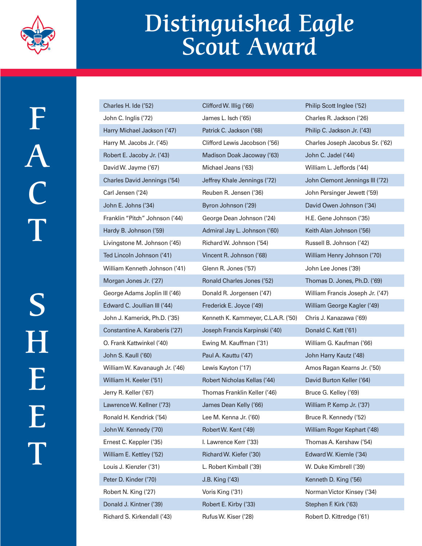

| Charles H. Ide ('52)           | Clifford W. Illig ('66)             | Philip Scott Inglee ('52)        |
|--------------------------------|-------------------------------------|----------------------------------|
| John C. Inglis ('72)           | James L. Isch ('65)                 | Charles R. Jackson ('26)         |
| Harry Michael Jackson ('47)    | Patrick C. Jackson ('68)            | Philip C. Jackson Jr. ('43)      |
| Harry M. Jacobs Jr. ('45)      | Clifford Lewis Jacobson ('56)       | Charles Joseph Jacobus Sr. ('62) |
| Robert E. Jacoby Jr. ('43)     | Madison Doak Jacoway ('63)          | John C. Jadel ('44)              |
| David W. Jayme ('67)           | Michael Jeans ('63)                 | William L. Jeffords ('44)        |
| Charles David Jennings ('54)   | Jeffrey Khale Jennings ('72)        | John Clemont Jennings III ('72)  |
| Carl Jensen ('24)              | Reuben R. Jensen ('36)              | John Persinger Jewett ('59)      |
| John E. Johns ('34)            | Byron Johnson ('29)                 | David Owen Johnson ('34)         |
| Franklin "Pitch" Johnson ('44) | George Dean Johnson ('24)           | H.E. Gene Johnson ('35)          |
| Hardy B. Johnson ('59)         | Admiral Jay L. Johnson ('60)        | Keith Alan Johnson ('56)         |
| Livingstone M. Johnson ('45)   | Richard W. Johnson ('54)            | Russell B. Johnson ('42)         |
| Ted Lincoln Johnson ('41)      | Vincent R. Johnson ('68)            | William Henry Johnson ('70)      |
| William Kenneth Johnson ('41)  | Glenn R. Jones ('57)                | John Lee Jones ('39)             |
| Morgan Jones Jr. ('27)         | Ronald Charles Jones ('52)          | Thomas D. Jones, Ph.D. ('69)     |
| George Adams Joplin III ('46)  | Donald R. Jorgensen ('47)           | William Francis Joseph Jr. ('47) |
| Edward C. Joullian III ('44)   | Frederick E. Joyce ('49)            | William George Kagler ('49)      |
| John J. Kamerick, Ph.D. ('35)  | Kenneth K. Kammeyer, C.L.A.R. ('50) | Chris J. Kanazawa ('69)          |
| Constantine A. Karaberis ('27) | Joseph Francis Karpinski ('40)      | Donald C. Katt ('61)             |
| O. Frank Kattwinkel ('40)      | Ewing M. Kauffman ('31)             | William G. Kaufman ('66)         |
| John S. Kaull ('60)            | Paul A. Kauttu ('47)                | John Harry Kautz ('48)           |
| William W. Kavanaugh Jr. ('46) | Lewis Kayton ('17)                  | Amos Ragan Kearns Jr. ('50)      |
| William H. Keeler ('51)        | Robert Nicholas Kellas ('44)        | David Burton Keller ('64)        |
| Jerry R. Keller ('67)          | Thomas Franklin Keller ('46)        | Bruce G. Kelley ('69)            |
| Lawrence W. Kellner ('73)      | James Dean Kelly ('66)              | William P. Kemp Jr. ('37)        |
| Ronald H. Kendrick ('54)       | Lee M. Kenna Jr. ('60)              | Bruce R. Kennedy ('52)           |
| John W. Kennedy ('70)          | Robert W. Kent ('49)                | William Roger Kephart ('48)      |
| Ernest C. Keppler ('35)        | I. Lawrence Kerr ('33)              | Thomas A. Kershaw ('54)          |
| William E. Kettley ('52)       | Richard W. Kiefer ('30)             | Edward W. Kiemle ('34)           |
| Louis J. Kienzler ('31)        | L. Robert Kimball ('39)             | W. Duke Kimbrell ('39)           |
| Peter D. Kinder ('70)          | J.B. King ('43)                     | Kenneth D. King ('56)            |
| Robert N. King ('27)           | Voris King ('31)                    | Norman Victor Kinsey ('34)       |
| Donald J. Kintner ('39)        | Robert E. Kirby ('33)               | Stephen F. Kirk ('63)            |
| Richard S. Kirkendall ('43)    | Rufus W. Kiser ('28)                | Robert D. Kittredge ('61)        |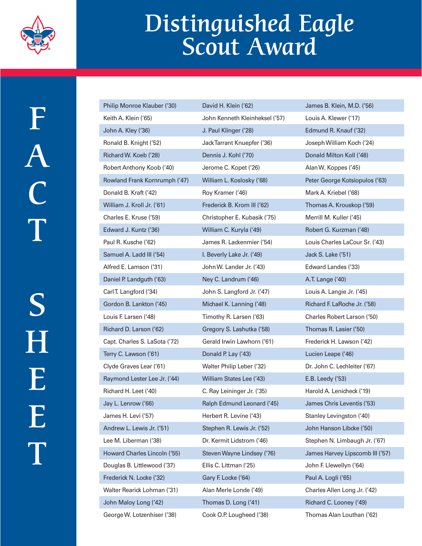

| Philip Monroe Klauber ('30)   | David H. Klein ('62)           | James B. Klein, M.D. ('56)      |
|-------------------------------|--------------------------------|---------------------------------|
| Keith A. Klein ('65)          | John Kenneth Kleinheksel ('57) | Louis A. Klewer ('17)           |
| John A. Kley ('36)            | J. Paul Klinger ('28)          | Edmund R. Knauf ('32)           |
| Ronald B. Knight ('52)        | JackTarrant Knuepfer ('36)     | Joseph William Koch ('24)       |
| Richard W. Koeb ('28)         | Dennis J. Kohl ('70)           | Donald Milton Koll ('48)        |
| Robert Anthony Koob ('40)     | Jerome C. Kopet ('26)          | Alan W. Koppes ('45)            |
| Rowland Frank Kornrumph ('47) | William L. Koslosky ('68)      | Peter George Kotsiopulos ('63)  |
| Donald B. Kraft ('42)         | Roy Kramer ('46)               | Mark A. Kriebel ('68)           |
| William J. Kroll Jr. ('61)    | Frederick B. Krom III ('62)    | Thomas A. Krouskop ('59)        |
| Charles E. Kruse ('59)        | Christopher E. Kubasik ('75)   | Merrill M. Kuller ('45)         |
| Edward J. Kuntz ('36)         | William C. Kuryla ('49)        | Robert G. Kurzman ('48)         |
| Paul R. Kusche ('62)          | James R. Lackenmier ('54)      | Louis Charles LaCour Sr. ('43)  |
| Samuel A. Ladd III ('54)      | I. Beverly Lake Jr. ('49)      | Jack S. Lake ('51)              |
| Alfred E. Lamson ('31)        | John W. Lander Jr. ('43)       | Edward Landes ('33)             |
| Daniel P. Landguth ('63)      | Ney C. Landrum ('46)           | A.T. Lange ('40)                |
| CarlT. Langford ('34)         | John S. Langford Jr. ('47)     | Louis A. Langie Jr. ('45)       |
| Gordon B. Lankton ('45)       | Michael K. Lanning ('48)       | Richard F. LaRoche Jr. ('58)    |
| Louis F. Larsen ('48)         | Timothy R. Larsen ('63)        | Charles Robert Larson ('50)     |
| Richard D. Larson ('62)       | Gregory S. Lashutka ('58)      | Thomas R. Lasier ('50)          |
| Capt. Charles S. LaSota ('72) | Gerald Irwin Lawhorn ('61)     | Frederick H. Lawson ('42)       |
| Terry C. Lawson ('61)         | Donald P. Lay ('43)            | Lucien Leape ('46)              |
| Clyde Graves Lear ('61)       | Walter Philip Leber ('32)      | Dr. John C. Lechleiter ('67)    |
| Raymond Lester Lee Jr. ('44)  | William States Lee ('43)       | E.B. Leedy ('53)                |
| Richard H. Leet ('40)         | C. Ray Leininger Jr. ('35)     | Harold A. Lenicheck ('19)       |
| Jay L. Lenrow ('66)           | Ralph Edmund Leonard ('45)     | James Chris Leventis ('53)      |
| James H. Levi ('57)           | Herbert R. Levine ('43)        | Stanley Levingston ('40)        |
| Andrew L. Lewis Jr. ('51)     | Stephen R. Lewis Jr. ('52)     | John Hanson Libcke ('50)        |
| Lee M. Liberman ('38)         | Dr. Kermit Lidstrom ('46)      | Stephen N. Limbaugh Jr. ('67)   |
| Howard Charles Lincoln ('55)  | Steven Wayne Lindsey ('76)     | James Harvey Lipscomb III ('57) |
| Douglas B. Littlewood ('37)   | Ellis C. Littman ('25)         | John F. Llewellyn ('64)         |
| Frederick N. Locke ('32)      | Gary F. Locke ('64)            | Paul A. Logli ('65)             |
| Walter Rearick Lohman ('31)   | Alan Merle Londe ('49)         | Charles Allen Long Jr. ('42)    |
| John Maloy Long ('42)         | Thomas D. Long ('41)           | Richard C. Looney ('49)         |
| George W. Lotzenhiser ('38)   | Cook O.P. Lougheed ('38)       | Thomas Alan Louthan ('62)       |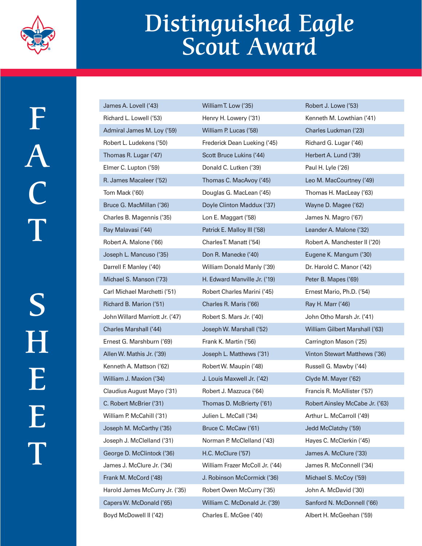

| James A. Lovell ('43)           | William T. Low ('35)            | Robert J. Lowe ('53)            |
|---------------------------------|---------------------------------|---------------------------------|
| Richard L. Lowell ('53)         | Henry H. Lowery ('31)           | Kenneth M. Lowthian ('41)       |
| Admiral James M. Loy ('59)      | William P. Lucas ('58)          | Charles Luckman ('23)           |
| Robert L. Ludekens ('50)        | Frederick Dean Lueking ('45)    | Richard G. Lugar ('46)          |
| Thomas R. Lugar ('47)           | Scott Bruce Lukins ('44)        | Herbert A. Lund ('39)           |
| Elmer C. Lupton ('59)           | Donald C. Lutken ('39)          | Paul H. Lyle ('26)              |
| R. James Macaleer ('52)         | Thomas C. MacAvoy ('45)         | Leo M. MacCourtney ('49)        |
| Tom Mack ('60)                  | Douglas G. MacLean ('45)        | Thomas H. MacLeay ('63)         |
| Bruce G. MacMillan ('36)        | Doyle Clinton Maddux ('37)      | Wayne D. Magee ('62)            |
| Charles B. Magennis ('35)       | Lon E. Maggart ('58)            | James N. Magro ('67)            |
| Ray Malavasi ('44)              | Patrick E. Malloy III ('58)     | Leander A. Malone ('32)         |
| Robert A. Malone ('66)          | Charles T. Manatt ('54)         | Robert A. Manchester II ('20)   |
| Joseph L. Mancuso ('35)         | Don R. Manecke ('40)            | Eugene K. Mangum ('30)          |
| Darrell F. Manley ('40)         | William Donald Manly ('39)      | Dr. Harold C. Manor ('42)       |
| Michael S. Manson ('73)         | H. Edward Manville Jr. ('19)    | Peter B. Mapes ('69)            |
| Carl Michael Marchetti ('51)    | Robert Charles Marini ('45)     | Ernest Mario, Ph.D. ('54)       |
| Richard B. Marion ('51)         | Charles R. Maris ('66)          | Ray H. Marr ('46)               |
| John Willard Marriott Jr. ('47) | Robert S. Mars Jr. ('40)        | John Otho Marsh Jr. ('41)       |
| Charles Marshall ('44)          | Joseph W. Marshall ('52)        | William Gilbert Marshall ('63)  |
| Ernest G. Marshburn ('69)       | Frank K. Martin ('56)           | Carrington Mason ('25)          |
| Allen W. Mathis Jr. ('39)       | Joseph L. Matthews ('31)        | Vinton Stewart Matthews ('36)   |
| Kenneth A. Mattson ('62)        | Robert W. Maupin ('48)          | Russell G. Mawby ('44)          |
| William J. Maxion ('34)         | J. Louis Maxwell Jr. ('42)      | Clyde M. Mayer ('62)            |
| Claudius August Mayo ('31)      | Robert J. Mazzuca ('64)         | Francis R. McAllister ('57)     |
| C. Robert McBrier ('31)         | Thomas D. McBrierty ('61)       | Robert Ainsley McCabe Jr. ('63) |
| William P. McCahill ('31)       | Julien L. McCall ('34)          | Arthur L. McCarroll ('49)       |
| Joseph M. McCarthy ('35)        | Bruce C. McCaw ('61)            | Jedd McClatchy ('59)            |
| Joseph J. McClelland ('31)      | Norman P. McClelland ('43)      | Hayes C. McClerkin ('45)        |
| George D. McClintock ('36)      | H.C. McClure ('57)              | James A. McClure ('33)          |
| James J. McClure Jr. ('34)      | William Frazer McColl Jr. ('44) | James R. McConnell ('34)        |
| Frank M. McCord ('48)           | J. Robinson McCormick ('36)     | Michael S. McCoy ('59)          |
| Harold James McCurry Jr. ('35)  | Robert Owen McCurry ('35)       | John A. McDavid ('30)           |
| Capers W. McDonald ('65)        | William C. McDonald Jr. ('39)   | Sanford N. McDonnell ('66)      |
| Boyd McDowell II ('42)          | Charles E. McGee ('40)          | Albert H. McGeehan ('59)        |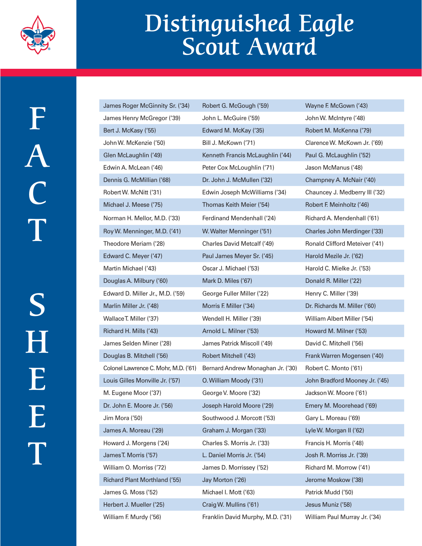

| James Roger McGinnity Sr. ('34)      | Robert G. McGough ('59)           | Wayne F. McGown ('43)          |
|--------------------------------------|-----------------------------------|--------------------------------|
| James Henry McGregor ('39)           | John L. McGuire ('59)             | John W. McIntyre ('48)         |
| Bert J. McKasy ('55)                 | Edward M. McKay ('35)             | Robert M. McKenna ('79)        |
| John W. McKenzie ('50)               | Bill J. McKown ('71)              | Clarence W. McKown Jr. ('69)   |
| Glen McLaughlin ('49)                | Kenneth Francis McLaughlin ('44)  | Paul G. McLaughlin ('52)       |
| Edwin A. McLean ('46)                | Peter Cox McLoughlin ('71)        | Jason McManus ('48)            |
| Dennis G. McMillian ('68)            | Dr. John J. McMullen ('32)        | Champney A. McNair ('40)       |
| Robert W. McNitt ('31)               | Edwin Joseph McWilliams ('34)     | Chauncey J. Medberry III ('32) |
| Michael J. Meese ('75)               | Thomas Keith Meier ('54)          | Robert F. Meinholtz ('46)      |
| Norman H. Mellor, M.D. ('33)         | Ferdinand Mendenhall ('24)        | Richard A. Mendenhall ('61)    |
| Roy W. Menninger, M.D. ('41)         | W. Walter Menninger ('51)         | Charles John Merdinger ('33)   |
| Theodore Meriam ('28)                | Charles David Metcalf ('49)       | Ronald Clifford Meteiver ('41) |
| Edward C. Meyer ('47)                | Paul James Meyer Sr. ('45)        | Harold Mezile Jr. ('62)        |
| Martin Michael ('43)                 | Oscar J. Michael ('53)            | Harold C. Mielke Jr. ('53)     |
| Douglas A. Milbury ('60)             | Mark D. Miles ('67)               | Donald R. Miller ('22)         |
| Edward D. Miller Jr., M.D. ('59)     | George Fuller Miller ('22)        | Henry C. Miller ('39)          |
| Marlin Miller Jr. ('48)              | Morris F. Miller ('34)            | Dr. Richards M. Miller ('60)   |
| Wallace T. Miller ('37)              | Wendell H. Miller ('39)           | William Albert Miller ('54)    |
| Richard H. Mills ('43)               | Arnold L. Milner ('53)            | Howard M. Milner ('53)         |
| James Selden Miner ('28)             | James Patrick Miscoll ('49)       | David C. Mitchell ('56)        |
| Douglas B. Mitchell ('56)            | Robert Mitchell ('43)             | Frank Warren Mogensen ('40)    |
| Colonel Lawrence C. Mohr, M.D. ('61) | Bernard Andrew Monaghan Jr. ('30) | Robert C. Monto ('61)          |
| Louis Gilles Monville Jr. ('57)      | O. William Moody ('31)            | John Bradford Mooney Jr. ('45) |
| M. Eugene Moor ('37)                 | George V. Moore ('32)             | Jackson W. Moore ('61)         |
| Dr. John E. Moore Jr. ('56)          | Joseph Harold Moore ('29)         | Emery M. Moorehead ('69)       |
| Jim Mora ('50)                       | Southwood J. Morcott ('53)        | Gary L. Moreau ('69)           |
| James A. Moreau ('29)                | Graham J. Morgan ('33)            | Lyle W. Morgan II ('62)        |
| Howard J. Morgens ('24)              | Charles S. Morris Jr. ('33)       | Francis H. Morris ('48)        |
| James T. Morris ('57)                | L. Daniel Morris Jr. ('54)        | Josh R. Morriss Jr. ('39)      |
| William O. Morriss ('72)             | James D. Morrissey ('52)          | Richard M. Morrow ('41)        |
| <b>Richard Plant Morthland ('55)</b> | Jay Morton ('26)                  | Jerome Moskow ('38)            |
| James G. Moss ('52)                  | Michael I. Mott ('63)             | Patrick Mudd ('50)             |
| Herbert J. Mueller ('25)             | Craig W. Mullins ('61)            | Jesus Muniz ('58)              |
| William F. Murdy ('56)               | Franklin David Murphy, M.D. ('31) | William Paul Murray Jr. ('34)  |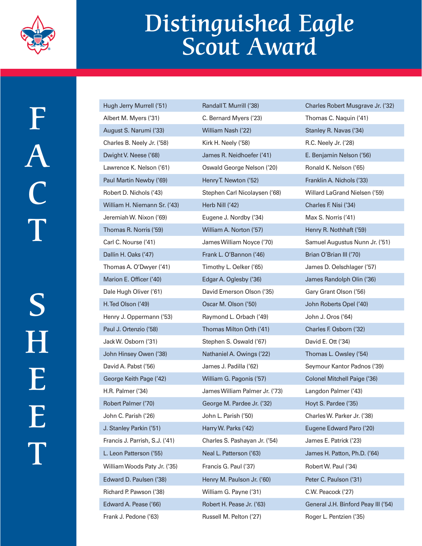

| Hugh Jerry Murrell ('51)       | Randall T. Murrill ('38)       | Charles Robert Musgrave Jr. ('32)   |
|--------------------------------|--------------------------------|-------------------------------------|
| Albert M. Myers ('31)          | C. Bernard Myers ('23)         | Thomas C. Naquin ('41)              |
| August S. Narumi ('33)         | William Nash ('22)             | Stanley R. Navas ('34)              |
| Charles B. Neely Jr. ('58)     | Kirk H. Neely ('58)            | R.C. Neely Jr. ('28)                |
| Dwight V. Neese ('68)          | James R. Neidhoefer ('41)      | E. Benjamin Nelson ('56)            |
| Lawrence K. Nelson ('61)       | Oswald George Nelson ('20)     | Ronald K. Nelson ('65)              |
| Paul Martin Newby ('69)        | Henry T. Newton ('52)          | Franklin A. Nichols ('33)           |
| Robert D. Nichols ('43)        | Stephen Carl Nicolaysen ('68)  | Willard LaGrand Nielsen ('59)       |
| William H. Niemann Sr. ('43)   | Herb Nill ('42)                | Charles F. Nisi ('34)               |
| Jeremiah W. Nixon ('69)        | Eugene J. Nordby ('34)         | Max S. Norris ('41)                 |
| Thomas R. Norris ('59)         | William A. Norton ('57)        | Henry R. Nothhaft ('59)             |
| Carl C. Nourse ('41)           | James William Noyce ('70)      | Samuel Augustus Nunn Jr. ('51)      |
| Dallin H. Oaks ('47)           | Frank L. O'Bannon ('46)        | Brian O'Brian III ('70)             |
| Thomas A. O'Dwyer ('41)        | Timothy L. Oelker ('65)        | James D. Oelschlager ('57)          |
| Marion E. Officer ('40)        | Edgar A. Oglesby ('36)         | James Randolph Olin ('36)           |
| Dale Hugh Oliver ('61)         | David Emerson Olson ('35)      | Gary Grant Olson ('56)              |
| H. Ted Olson ('49)             | Oscar M. Olson ('50)           | John Roberts Opel ('40)             |
| Henry J. Oppermann ('53)       | Raymond L. Orbach ('49)        | John J. Oros ('64)                  |
| Paul J. Ortenzio ('58)         | Thomas Milton Orth ('41)       | Charles F. Osborn ('32)             |
| Jack W. Osborn ('31)           | Stephen S. Oswald ('67)        | David E. Ott ('34)                  |
| John Hinsey Owen ('38)         | Nathaniel A. Owings ('22)      | Thomas L. Owsley ('54)              |
| David A. Pabst ('56)           | James J. Padilla ('62)         | Seymour Kantor Padnos ('39)         |
| George Keith Page ('42)        | William G. Pagonis ('57)       | Colonel Mitchell Paige ('36)        |
| H.R. Palmer ('34)              | James William Palmer Jr. ('73) | Langdon Palmer ('43)                |
| Robert Palmer ('70)            | George M. Pardee Jr. ('32)     | Hoyt S. Pardee ('35)                |
| John C. Parish ('26)           | John L. Parish ('50)           | Charles W. Parker Jr. ('38)         |
| J. Stanley Parkin ('51)        | Harry W. Parks ('42)           | Eugene Edward Paro ('20)            |
| Francis J. Parrish, S.J. ('41) | Charles S. Pashayan Jr. ('54)  | James E. Patrick ('23)              |
| L. Leon Patterson ('55)        | Neal L. Patterson ('63)        | James H. Patton, Ph.D. ('64)        |
| William Woods Paty Jr. ('35)   | Francis G. Paul ('37)          | Robert W. Paul ('34)                |
| Edward D. Paulsen ('38)        | Henry M. Paulson Jr. ('60)     | Peter C. Paulson ('31)              |
| Richard P. Pawson ('38)        | William G. Payne ('31)         | C.W. Peacock ('27)                  |
| Edward A. Pease ('66)          | Robert H. Pease Jr. ('63)      | General J.H. Binford Peay III ('54) |
| Frank J. Pedone ('63)          | Russell M. Pelton ('27)        | Roger L. Pentzien ('35)             |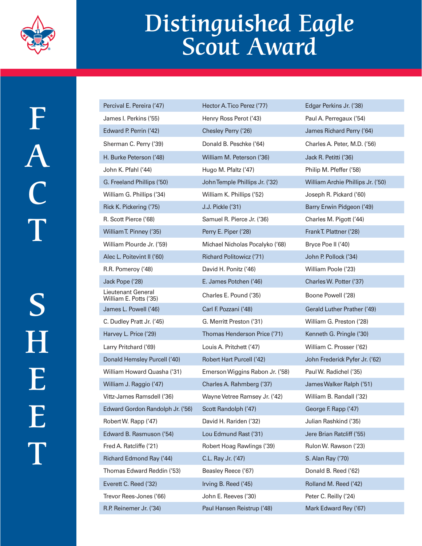

| Percival E. Pereira ('47)                    | Hector A. Tico Perez ('77)       | Edgar Perkins Jr. ('38)           |
|----------------------------------------------|----------------------------------|-----------------------------------|
| James I. Perkins ('55)                       | Henry Ross Perot ('43)           | Paul A. Perregaux ('54)           |
| Edward P. Perrin ('42)                       | Chesley Perry ('26)              | James Richard Perry ('64)         |
| Sherman C. Perry ('39)                       | Donald B. Peschke ('64)          | Charles A. Peter, M.D. ('56)      |
| H. Burke Peterson ('48)                      | William M. Peterson ('36)        | Jack R. Petitti ('36)             |
| John K. Pfahl ('44)                          | Hugo M. Pfaltz ('47)             | Philip M. Pfeffer ('58)           |
| G. Freeland Phillips ('50)                   | John Temple Phillips Jr. ('32)   | William Archie Phillips Jr. ('50) |
| William G. Phillips ('34)                    | William K. Phillips ('52)        | Joseph R. Pickard ('60)           |
| Rick K. Pickering ('75)                      | J.J. Pickle ('31)                | Barry Erwin Pidgeon ('49)         |
| R. Scott Pierce ('68)                        | Samuel R. Pierce Jr. ('36)       | Charles M. Pigott ('44)           |
| William T. Pinney ('35)                      | Perry E. Piper ('28)             | FrankT. Plattner ('28)            |
| William Plourde Jr. ('59)                    | Michael Nicholas Pocalyko ('68)  | Bryce Poe II ('40)                |
| Alec L. Poitevint II ('60)                   | <b>Richard Politowicz ('71)</b>  | John P. Pollock ('34)             |
| R.R. Pomeroy ('48)                           | David H. Ponitz ('46)            | William Poole ('23)               |
| Jack Pope ('28)                              | E. James Potchen ('46)           | Charles W. Potter ('37)           |
| Lieutenant General<br>William E. Potts ('35) | Charles E. Pound ('35)           | Boone Powell ('28)                |
| James L. Powell ('46)                        | Carl F. Pozzani ('48)            | Gerald Luther Prather ('49)       |
| C. Dudley Pratt Jr. ('45)                    | G. Merritt Preston ('31)         | William G. Preston ('28)          |
| Harvey L. Price ('29)                        | Thomas Henderson Price ('71)     | Kenneth G. Pringle ('30)          |
| Larry Pritchard ('69)                        | Louis A. Pritchett ('47)         | William C. Prosser ('62)          |
| Donald Hemsley Purcell ('40)                 | <b>Robert Hart Purcell ('42)</b> | John Frederick Pyfer Jr. ('62)    |
| William Howard Quasha ('31)                  | Emerson Wiggins Rabon Jr. ('58)  |                                   |
|                                              |                                  | Paul W. Radichel ('35)            |
| William J. Raggio ('47)                      | Charles A. Rahmberg ('37)        | James Walker Ralph ('51)          |
| Vittz-James Ramsdell ('36)                   | Wayne Vetree Ramsey Jr. ('42)    | William B. Randall ('32)          |
| Edward Gordon Randolph Jr. ('56)             | Scott Randolph ('47)             | George F. Rapp ('47)              |
| Robert W. Rapp ('47)                         | David H. Rariden ('32)           | Julian Rashkind ('35)             |
| Edward B. Rasmuson ('54)                     | Lou Edmund Rast ('31)            | Jere Brian Ratcliff ('55)         |
| Fred A. Ratcliffe ('21)                      | Robert Hoag Rawlings ('39)       | Rulon W. Rawson ('23)             |
| Richard Edmond Ray ('44)                     | C.L. Ray Jr. ('47)               | S. Alan Ray ('70)                 |
| Thomas Edward Reddin ('53)                   | Beasley Reece ('67)              | Donald B. Reed ('62)              |
| Everett C. Reed ('32)                        | Irving B. Reed ('45)             | Rolland M. Reed ('42)             |
| Trevor Rees-Jones ('66)                      | John E. Reeves ('30)             | Peter C. Reilly ('24)             |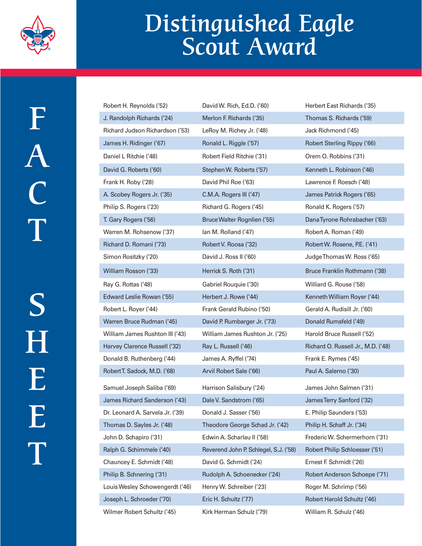

| Robert H. Reynolds ('52)         | David W. Rich, Ed.D. ('60)            | Herbert East Richards ('35)        |
|----------------------------------|---------------------------------------|------------------------------------|
| J. Randolph Richards ('24)       | Merlon F. Richards ('35)              | Thomas S. Richards ('59)           |
| Richard Judson Richardson ('53)  | LeRoy M. Richey Jr. ('48)             | Jack Richmond ('45)                |
| James H. Ridinger ('67)          | Ronald L. Riggle ('57)                | Robert Sterling Rippy ('66)        |
| Daniel L Ritchie ('48)           | Robert Field Ritchie ('31)            | Orem O. Robbins ('31)              |
| David G. Roberts ('60)           | Stephen W. Roberts ('57)              | Kenneth L. Robinson ('46)          |
| Frank H. Roby ('28)              | David Phil Roe ('63)                  | Lawrence F. Roesch ('48)           |
| A. Scobey Rogers Jr. ('35)       | C.M.A. Rogers III ('47)               | James Patrick Rogers ('65)         |
| Philip S. Rogers ('23)           | Richard G. Rogers ('45)               | Ronald K. Rogers ('57)             |
| T. Gary Rogers ('56)             | Bruce Walter Rognlien ('55)           | Dana Tyrone Rohrabacher ('63)      |
| Warren M. Rohsenow ('37)         | lan M. Rolland ('47)                  | Robert A. Roman ('49)              |
| Richard D. Romani ('73)          | Robert V. Roosa ('32)                 | Robert W. Rosene, P.E. ('41)       |
| Simon Rositzky ('20)             | David J. Ross II ('60)                | JudgeThomasW. Ross ('65)           |
| William Rosson ('33)             | Herrick S. Roth ('31)                 | Bruce Franklin Rothmann ('38)      |
| Ray G. Rottas ('48)              | Gabriel Rouquie ('30)                 | Williard G. Rouse ('58)            |
| Edward Leslie Rowan ('55)        | Herbert J. Rowe ('44)                 | Kenneth William Royer ('44)        |
| Robert L. Royer ('44)            | Frank Gerald Rubino ('50)             | Gerald A. Rudisill Jr. ('60)       |
| Warren Bruce Rudman ('45)        | David P. Rumbarger Jr. ('73)          | Donald Rumsfeld ('49)              |
| William James Rushton III ('43)  | William James Rushton Jr. ('25)       | Harold Bruce Russell ('52)         |
| Harvey Clarence Russell ('32)    | Ray L. Russell ('46)                  | Richard O. Russell Jr., M.D. ('48) |
| Donald B. Ruthenberg ('44)       | James A. Ryffel ('74)                 | Frank E. Rymes ('45)               |
| Robert T. Sadock, M.D. ('68)     | Arvil Robert Sale ('66)               | Paul A. Salerno ('30)              |
| Samuel Joseph Saliba ('69)       | Harrison Salisbury ('24)              | James John Salmen ('31)            |
| James Richard Sanderson ('43)    | Dale V. Sandstrom ('65)               | James Terry Sanford ('32)          |
| Dr. Leonard A. Sarvela Jr. ('39) | Donald J. Sasser ('56)                | E. Philip Saunders ('53)           |
| Thomas D. Sayles Jr. ('48)       | Theodore George Schad Jr. ('42)       | Philip H. Schaff Jr. ('34)         |
| John D. Schapiro ('31)           | Edwin A. Scharlau II ('58)            | Frederic W. Schermerhorn ('31)     |
| Ralph G. Schimmele ('40)         | Reverend John P. Schlegel, S.J. ('58) | Robert Philip Schloesser ('51)     |
| Chauncey E. Schmidt ('48)        | David G. Schmidt ('24)                | Ernest F. Schmidt ('26)            |
| Philip B. Schnering ('31)        | Rudolph A. Schoenecker ('24)          | Robert Anderson Schoepe ('71)      |
| Louis Wesley Schowengerdt ('46)  | Henry W. Schreiber ('23)              | Roger M. Schrimp ('56)             |
| Joseph L. Schroeder ('70)        | Eric H. Schultz ('77)                 | Robert Harold Schultz ('46)        |
| Wilmer Robert Schultz ('45)      | Kirk Herman Schulz ('79)              | William R. Schulz ('46)            |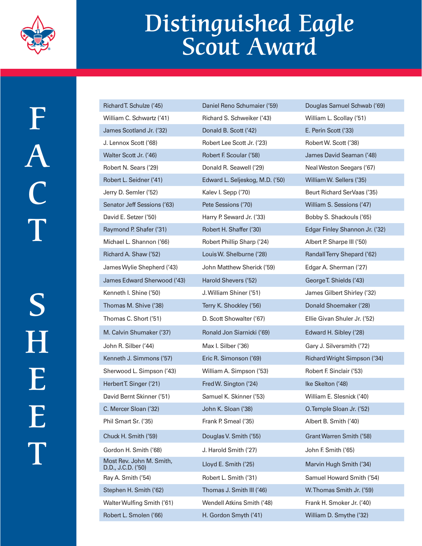

| Richard T. Schulze ('45)                       | Daniel Reno Schumaier ('59)     | Douglas Samuel Schwab ('69)     |
|------------------------------------------------|---------------------------------|---------------------------------|
| William C. Schwartz ('41)                      | Richard S. Schweiker ('43)      | William L. Scollay ('51)        |
| James Scotland Jr. ('32)                       | Donald B. Scott ('42)           | E. Perin Scott ('33)            |
| J. Lennox Scott ('68)                          | Robert Lee Scott Jr. ('23)      | Robert W. Scott ('38)           |
| Walter Scott Jr. ('46)                         | Robert F. Scoular ('58)         | James David Seaman ('48)        |
| Robert N. Sears ('29)                          | Donald R. Seawell ('29)         | Neal Weston Seegars ('67)       |
| Robert L. Seidner ('41)                        | Edward L. Seljeskog, M.D. ('50) | William W. Sellers ('35)        |
| Jerry D. Semler ('52)                          | Kalev I. Sepp ('70)             | Beurt Richard SerVaas ('35)     |
| Senator Jeff Sessions ('63)                    | Pete Sessions ('70)             | William S. Sessions ('47)       |
| David E. Setzer ('50)                          | Harry P. Seward Jr. ('33)       | Bobby S. Shackouls ('65)        |
| Raymond P. Shafer ('31)                        | Robert H. Shaffer ('30)         | Edgar Finley Shannon Jr. ('32)  |
| Michael L. Shannon ('66)                       | Robert Phillip Sharp ('24)      | Albert P. Sharpe III ('50)      |
| Richard A. Shaw ('52)                          | Louis W. Shelburne ('28)        | Randall Terry Shepard ('62)     |
| James Wylie Shepherd ('43)                     | John Matthew Sherick ('59)      | Edgar A. Sherman ('27)          |
| James Edward Sherwood ('43)                    | Harold Shevers ('52)            | George T. Shields ('43)         |
| Kenneth I. Shine ('50)                         | J. William Shiner ('51)         | James Gilbert Shirley ('32)     |
| Thomas M. Shive ('38)                          | Terry K. Shockley ('56)         | Donald Shoemaker ('28)          |
| Thomas C. Short ('51)                          | D. Scott Showalter ('67)        | Ellie Givan Shuler Jr. ('52)    |
| M. Calvin Shumaker ('37)                       | Ronald Jon Siarnicki ('69)      | Edward H. Sibley ('28)          |
| John R. Silber ('44)                           | Max I. Silber ('36)             | Gary J. Silversmith ('72)       |
| Kenneth J. Simmons ('57)                       | Eric R. Simonson ('69)          | Richard Wright Simpson ('34)    |
| Sherwood L. Simpson ('43)                      | William A. Simpson ('53)        | Robert F. Sinclair ('53)        |
| Herbert T. Singer ('21)                        | Fred W. Sington ('24)           | Ike Skelton ('48)               |
| David Bernt Skinner ('51)                      | Samuel K. Skinner ('53)         | William E. Slesnick ('40)       |
| C. Mercer Sloan ('32)                          | John K. Sloan ('38)             | O. Temple Sloan Jr. ('52)       |
| Phil Smart Sr. ('35)                           | Frank P. Smeal ('35)            | Albert B. Smith ('40)           |
| Chuck H. Smith ('59)                           | Douglas V. Smith ('55)          | <b>Grant Warren Smith ('58)</b> |
| Gordon H. Smith ('68)                          | J. Harold Smith ('27)           | John F. Smith ('65)             |
| Most Rev. John M. Smith,<br>D.D., J.C.D. ('50) | Lloyd E. Smith ('25)            | Marvin Hugh Smith ('34)         |
| Ray A. Smith ('54)                             | Robert L. Smith ('31)           | Samuel Howard Smith ('54)       |
| Stephen H. Smith ('62)                         | Thomas J. Smith III ('46)       | W. Thomas Smith Jr. ('59)       |
| Walter Wulfing Smith ('61)                     | Wendell Atkins Smith ('48)      | Frank H. Smoker Jr. ('40)       |
| Robert L. Smolen ('66)                         | H. Gordon Smyth ('41)           | William D. Smythe ('32)         |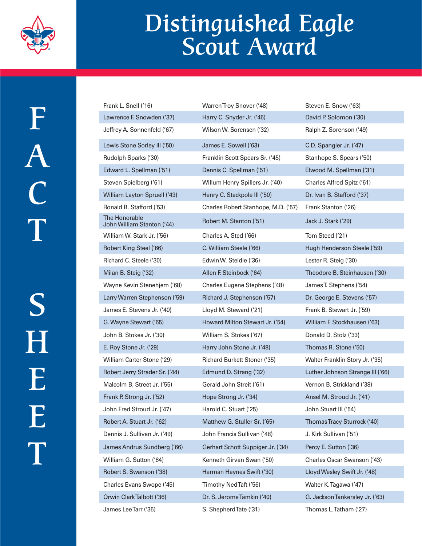

| Frank L. Snell ('16)                        | Warren Troy Snover ('48)            | Steven E. Snow ('63)             |
|---------------------------------------------|-------------------------------------|----------------------------------|
| Lawrence F. Snowden ('37)                   | Harry C. Snyder Jr. ('46)           | David P. Solomon ('30)           |
| Jeffrey A. Sonnenfeld ('67)                 | Wilson W. Sorensen ('32)            | Ralph Z. Sorenson ('49)          |
| Lewis Stone Sorley III ('50)                | James E. Sowell ('63)               | C.D. Spangler Jr. ('47)          |
| Rudolph Sparks ('30)                        | Franklin Scott Spears Sr. ('45)     | Stanhope S. Spears ('50)         |
| Edward L. Spellman ('51)                    | Dennis C. Spellman ('51)            | Elwood M. Spellman ('31)         |
| Steven Spielberg ('61)                      | Willum Henry Spillers Jr. ('40)     | Charles Alfred Spitz ('61)       |
| William Layton Spruell ('43)                | Henry C. Stackpole III ('50)        | Dr. Ivan B. Stafford ('37)       |
| Ronald B. Stafford ('53)                    | Charles Robert Stanhope, M.D. ('57) | Frank Stanton ('26)              |
| The Honorable<br>John William Stanton ('44) | Robert M. Stanton ('51)             | Jack J. Stark ('29)              |
| William W. Stark Jr. ('56)                  | Charles A. Sted ('66)               | Tom Steed ('21)                  |
| Robert King Steel ('66)                     | C. William Steele ('66)             | Hugh Henderson Steele ('59)      |
| Richard C. Steele ('30)                     | Edwin W. Steidle ('36)              | Lester R. Steig ('30)            |
| Milan B. Steig ('32)                        | Allen F. Steinbock ('64)            | Theodore B. Steinhausen ('30)    |
| Wayne Kevin Stenehjem ('68)                 | Charles Eugene Stephens ('48)       | JamesT. Stephens ('54)           |
| Larry Warren Stephenson ('59)               | Richard J. Stephenson ('57)         | Dr. George E. Stevens ('57)      |
| James E. Stevens Jr. ('40)                  | Lloyd M. Steward ('21)              | Frank B. Stewart Jr. ('59)       |
| G. Wayne Stewart ('65)                      | Howard Milton Stewart Jr. ('54)     | William F. Stockhausen ('63)     |
| John B. Stokes Jr. ('30)                    | William S. Stokes ('67)             | Donald D. Stolz ('33)            |
| E. Roy Stone Jr. ('29)                      | Harry John Stone Jr. ('48)          | Thomas R. Stone ('50)            |
| William Carter Stone ('29)                  | Richard Burkett Stoner ('35)        | Walter Franklin Story Jr. ('35)  |
| Robert Jerry Strader Sr. ('44)              | Edmund D. Strang ('32)              | Luther Johnson Strange III ('66) |
| Malcolm B. Street Jr. ('55)                 | Gerald John Streit ('61)            | Vernon B. Strickland ('38)       |
| Frank P. Strong Jr. ('52)                   | Hope Strong Jr. ('34)               | Ansel M. Stroud Jr. ('41)        |
| John Fred Stroud Jr. ('47)                  | Harold C. Stuart ('25)              | John Stuart III ('54)            |
| Robert A. Stuart Jr. ('62)                  | Matthew G. Stuller Sr. ('65)        | Thomas Tracy Sturrock ('40)      |
| Dennis J. Sullivan Jr. ('49)                | John Francis Sullivan ('48)         | J. Kirk Sullivan ('51)           |
| James Andrus Sundberg ('66)                 | Gerhart Schott Suppiger Jr. ('34)   | Percy E. Sutton ('36)            |
| William G. Sutton ('64)                     | Kenneth Girvan Swan ('50)           | Charles Oscar Swanson ('43)      |
| Robert S. Swanson ('38)                     | Herman Haynes Swift ('30)           | Lloyd Wesley Swift Jr. ('48)     |
| Charles Evans Swope ('45)                   | Timothy Ned Taft ('56)              | Walter K. Tagawa ('47)           |
| Orwin ClarkTalbott ('36)                    | Dr. S. Jerome Tamkin ('40)          | G. Jackson Tankersley Jr. ('63)  |
| James Lee Tarr ('35)                        | S. Shepherd Tate ('31)              | Thomas L. Tatham ('27)           |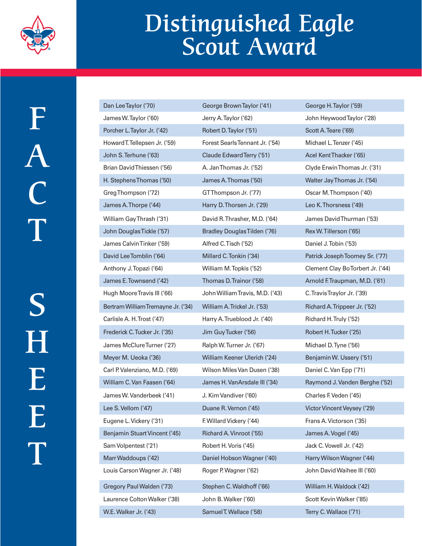

| Dan Lee Taylor ('70)               | George Brown Taylor ('41)           | George H. Taylor ('59)            |
|------------------------------------|-------------------------------------|-----------------------------------|
| James W. Taylor ('60)              | Jerry A. Taylor ('62)               | John Heywood Taylor ('28)         |
| Porcher L. Taylor Jr. ('42)        | Robert D. Taylor ('51)              | Scott A. Teare ('69)              |
| Howard T. Tellepsen Jr. ('59)      | Forest Searls Tennant Jr. ('54)     | Michael L. Tenzer ('45)           |
| John S. Terhune ('63)              | Claude Edward Terry ('51)           | Acel KentThacker ('65)            |
| Brian David Thiessen ('56)         | A. Jan Thomas Jr. ('52)             | Clyde Erwin Thomas Jr. ('31)      |
| H. Stephens Thomas ('50)           | James A. Thomas ('50)               | Walter Jay Thomas Jr. ('54)       |
| Greg Thompson ('72)                | GTThompson Jr. ('77)                | Oscar M. Thompson ('40)           |
| James A. Thorpe ('44)              | Harry D. Thorsen Jr. ('29)          | Leo K. Thorsness ('49)            |
| William Gay Thrash ('31)           | David R. Thrasher, M.D. ('64)       | James David Thurman ('53)         |
| John Douglas Tickle ('57)          | <b>Bradley Douglas Tilden ('76)</b> | Rex W. Tillerson ('65)            |
| James Calvin Tinker ('59)          | Alfred C. Tisch ('52)               | Daniel J. Tobin ('53)             |
| David Lee Tomblin ('64)            | Millard C. Tonkin ('34)             | Patrick Joseph Toomey Sr. ('77)   |
| Anthony J. Topazi ('64)            | William M. Topkis ('52)             | Clement Clay Bo Torbert Jr. ('44) |
| James E. Townsend ('42)            | Thomas D. Trainor ('58)             | Arnold F. Traupman, M.D. ('61)    |
| Hugh Moore Travis III ('66)        | John William Travis, M.D. ('43)     | C. Travis Traylor Jr. ('39)       |
| Bertram William Tremayne Jr. ('34) | William A. Trickel Jr. ('53)        | Richard A. Trippeer Jr. ('52)     |
| Carlisle A. H. Trost ('47)         | Harry A. Trueblood Jr. ('40)        | Richard H. Truly ('52)            |
| Frederick C. Tucker Jr. ('35)      | Jim Guy Tucker ('56)                | Robert H. Tucker ('25)            |
| James McClureTurner ('27)          | Ralph W. Turner Jr. ('67)           | Michael D. Tyne ('56)             |
| Meyer M. Ueoka ('36)               | William Keener Ulerich ('24)        | Benjamin W. Ussery ('51)          |
| Carl P. Valenziano, M.D. ('69)     | Wilson Miles Van Dusen ('38)        | Daniel C. Van Epp ('71)           |
| William C. Van Faasen ('64)        | James H. VanArsdale III ('34)       | Raymond J. Vanden Berghe ('52)    |
| James W. Vanderbeek ('41)          | J. Kim Vandiver ('60)               | Charles F. Veden ('45)            |
| Lee S. Vellom ('47)                | Duane R. Vernon ('45)               | Victor Vincent Veysey ('29)       |
| Eugene L. Vickery ('31)            | F. Willard Vickery ('44)            | Frans A. Victorson ('35)          |
| Benjamin Stuart Vincent ('45)      | Richard A. Vinroot ('55)            | James A. Vogel ('45)              |
| Sam Volpentest ('21)               | Robert H. Voris ('45)               | Jack C. Vowell Jr. ('42)          |
| Marr Waddoups ('42)                | Daniel Hobson Wagner ('40)          | Harry Wilson Wagner ('44)         |
| Louis Carson Wagner Jr. ('48)      | Roger P. Wagner ('62)               | John David Waihee III ('60)       |
| Gregory Paul Walden ('73)          | Stephen C. Waldhoff ('66)           | William H. Waldock ('42)          |
| Laurence Colton Walker ('38)       | John B. Walker ('60)                | Scott Kevin Walker ('85)          |
| W.E. Walker Jr. ('43)              | Samuel T. Wallace ('58)             | Terry C. Wallace ('71)            |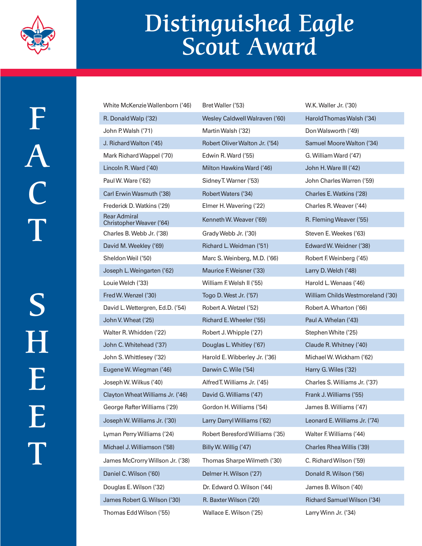

| White McKenzie Wallenborn ('46)                 | Bret Waller ('53)               | W.K. Waller Jr. ('30)             |
|-------------------------------------------------|---------------------------------|-----------------------------------|
| R. Donald Walp ('32)                            | Wesley Caldwell Walraven ('60)  | Harold Thomas Walsh ('34)         |
| John P. Walsh ('71)                             | Martin Walsh ('32)              | Don Walsworth ('49)               |
| J. Richard Walton ('45)                         | Robert Oliver Walton Jr. ('54)  | Samuel Moore Walton ('34)         |
| Mark Richard Wappel ('70)                       | Edwin R. Ward ('55)             | G. William Ward ('47)             |
| Lincoln R. Ward ('40)                           | Milton Hawkins Ward ('46)       | John H. Ware III ('42)            |
| Paul W. Ware ('62)                              | Sidney T. Warner ('53)          | John Charles Warren ('59)         |
| Carl Erwin Wasmuth ('38)                        | Robert Waters ('34)             | Charles E. Watkins ('28)          |
| Frederick D. Watkins ('29)                      | Elmer H. Wavering ('22)         | Charles R. Weaver ('44)           |
| <b>Rear Admiral</b><br>Christopher Weaver ('64) | Kenneth W. Weaver ('69)         | R. Fleming Weaver ('55)           |
| Charles B. Webb Jr. ('38)                       | Grady Webb Jr. ('30)            | Steven E. Weekes ('63)            |
| David M. Weekley ('69)                          | Richard L. Weidman ('51)        | Edward W. Weidner ('38)           |
| Sheldon Weil ('50)                              | Marc S. Weinberg, M.D. ('66)    | Robert F. Weinberg ('45)          |
| Joseph L. Weingarten ('62)                      | Maurice F. Weisner ('33)        | Larry D. Welch ('48)              |
| Louie Welch ('33)                               | William F. Welsh II ('55)       | Harold L. Wenaas ('46)            |
| Fred W. Wenzel ('30)                            | Togo D. West Jr. ('57)          | William Childs Westmoreland ('30) |
| David L. Wettergren, Ed.D. ('54)                | Robert A. Wetzel ('52)          | Robert A. Wharton ('66)           |
| John V. Wheat ('25)                             | Richard E. Wheeler ('55)        | Paul A. Whelan ('43)              |
| Walter R. Whidden ('22)                         | Robert J. Whipple ('27)         | Stephen White ('25)               |
| John C. Whitehead ('37)                         | Douglas L. Whitley ('67)        | Claude R. Whitney ('40)           |
| John S. Whittlesey ('32)                        | Harold E. Wibberley Jr. ('36)   | Michael W. Wickham ('62)          |
| Eugene W. Wiegman ('46)                         | Darwin C. Wile ('54)            | Harry G. Wiles ('32)              |
| Joseph W. Wilkus ('40)                          | Alfred T. Williams Jr. ('45)    | Charles S. Williams Jr. ('37)     |
| Clayton Wheat Williams Jr. ('46)                | David G. Williams ('47)         | Frank J. Williams ('55)           |
| George Rafter Williams ('29)                    | Gordon H. Williams ('54)        | James B. Williams ('47)           |
| Joseph W. Williams Jr. ('30)                    | Larry Darryl Williams ('62)     | Leonard E. Williams Jr. ('74)     |
| Lyman Perry Williams ('24)                      | Robert Beresford Williams ('35) | Walter F. Williams ('44)          |
| Michael J. Williamson ('58)                     | Billy W. Willig ('47)           | Charles Rhea Willis ('39)         |
| James McCrorry Willson Jr. ('38)                | Thomas Sharpe Wilmeth ('30)     | C. Richard Wilson ('59)           |
| Daniel C. Wilson ('60)                          | Delmer H. Wilson ('27)          | Donald R. Wilson ('56)            |
| Douglas E. Wilson ('32)                         | Dr. Edward O. Wilson ('44)      | James B. Wilson ('40)             |
| James Robert G. Wilson ('30)                    | R. Baxter Wilson ('20)          | Richard Samuel Wilson ('34)       |
| Thomas Edd Wilson ('55)                         | Wallace E. Wilson ('25)         | Larry Winn Jr. ('34)              |